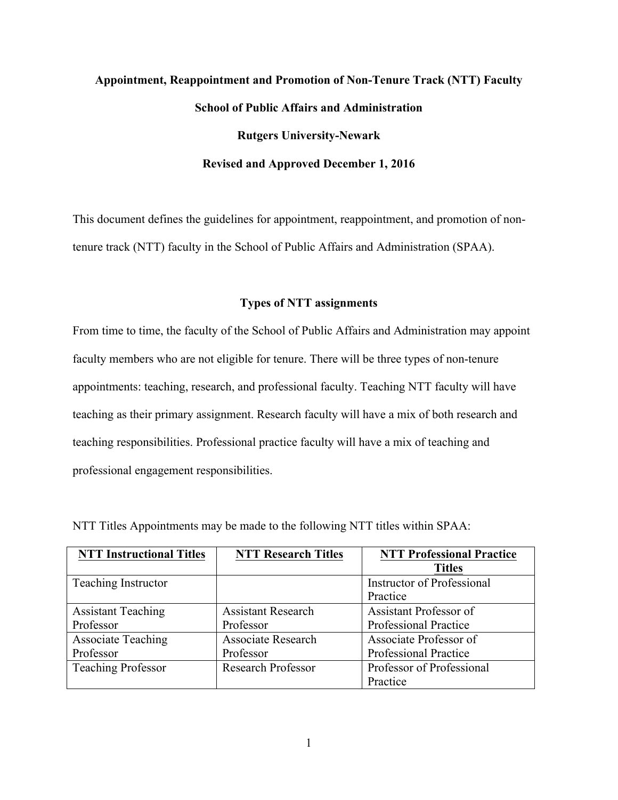# **Appointment, Reappointment and Promotion of Non-Tenure Track (NTT) Faculty School of Public Affairs and Administration Rutgers University-Newark Revised and Approved December 1, 2016**

This document defines the guidelines for appointment, reappointment, and promotion of nontenure track (NTT) faculty in the School of Public Affairs and Administration (SPAA).

#### **Types of NTT assignments**

From time to time, the faculty of the School of Public Affairs and Administration may appoint faculty members who are not eligible for tenure. There will be three types of non-tenure appointments: teaching, research, and professional faculty. Teaching NTT faculty will have teaching as their primary assignment. Research faculty will have a mix of both research and teaching responsibilities. Professional practice faculty will have a mix of teaching and professional engagement responsibilities.

| <b>NTT Instructional Titles</b> | <b>NTT Research Titles</b> | <b>NTT Professional Practice</b>  |
|---------------------------------|----------------------------|-----------------------------------|
|                                 |                            | <b>Titles</b>                     |
| <b>Teaching Instructor</b>      |                            | <b>Instructor of Professional</b> |
|                                 |                            | Practice                          |
| <b>Assistant Teaching</b>       | <b>Assistant Research</b>  | Assistant Professor of            |
| Professor                       | Professor                  | Professional Practice             |
| <b>Associate Teaching</b>       | <b>Associate Research</b>  | Associate Professor of            |
| Professor                       | Professor                  | Professional Practice             |
| <b>Teaching Professor</b>       | <b>Research Professor</b>  | Professor of Professional         |
|                                 |                            | Practice                          |

NTT Titles Appointments may be made to the following NTT titles within SPAA: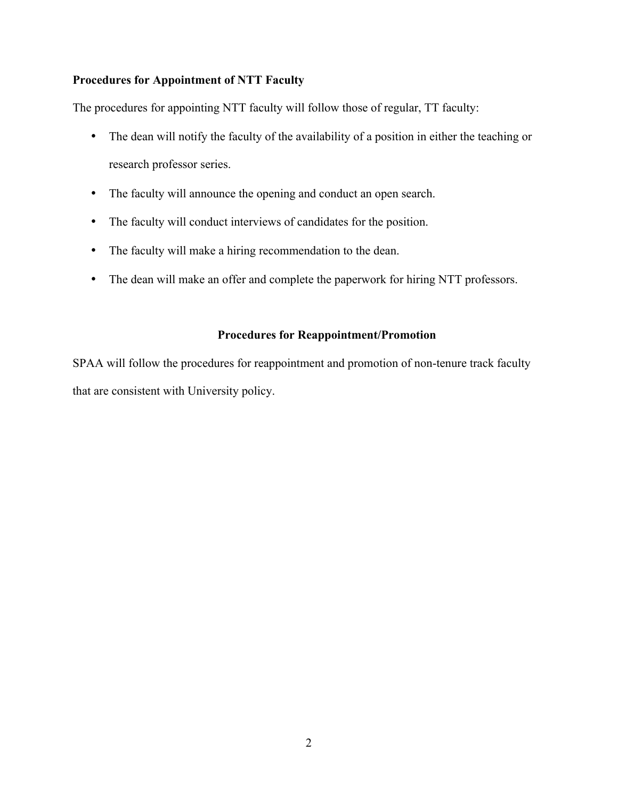#### **Procedures for Appointment of NTT Faculty**

The procedures for appointing NTT faculty will follow those of regular, TT faculty:

- The dean will notify the faculty of the availability of a position in either the teaching or research professor series.
- The faculty will announce the opening and conduct an open search.
- The faculty will conduct interviews of candidates for the position.
- The faculty will make a hiring recommendation to the dean.
- The dean will make an offer and complete the paperwork for hiring NTT professors.

#### **Procedures for Reappointment/Promotion**

SPAA will follow the procedures for reappointment and promotion of non-tenure track faculty that are consistent with University policy.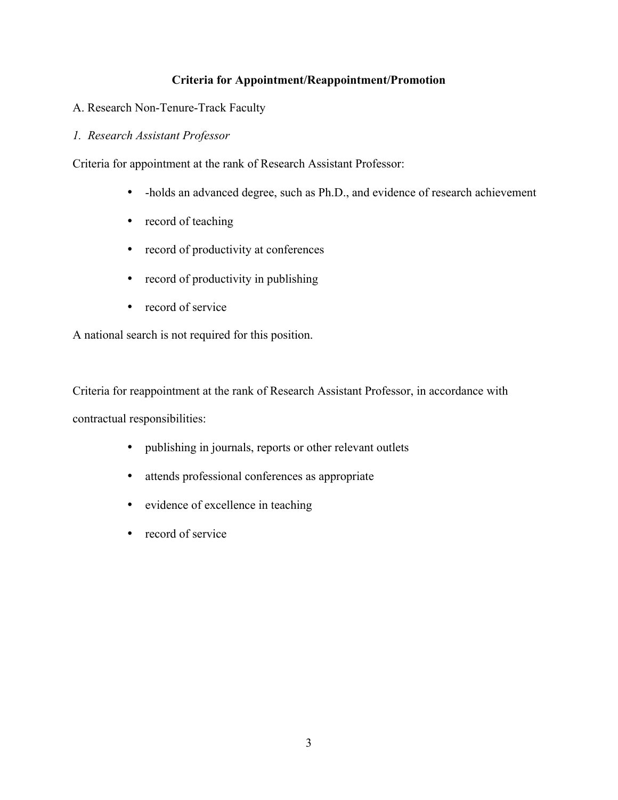# **Criteria for Appointment/Reappointment/Promotion**

- A. Research Non-Tenure-Track Faculty
- *1. Research Assistant Professor*

Criteria for appointment at the rank of Research Assistant Professor:

- -holds an advanced degree, such as Ph.D., and evidence of research achievement
- record of teaching
- record of productivity at conferences
- record of productivity in publishing
- record of service

A national search is not required for this position.

Criteria for reappointment at the rank of Research Assistant Professor, in accordance with contractual responsibilities:

- publishing in journals, reports or other relevant outlets
- attends professional conferences as appropriate
- evidence of excellence in teaching
- record of service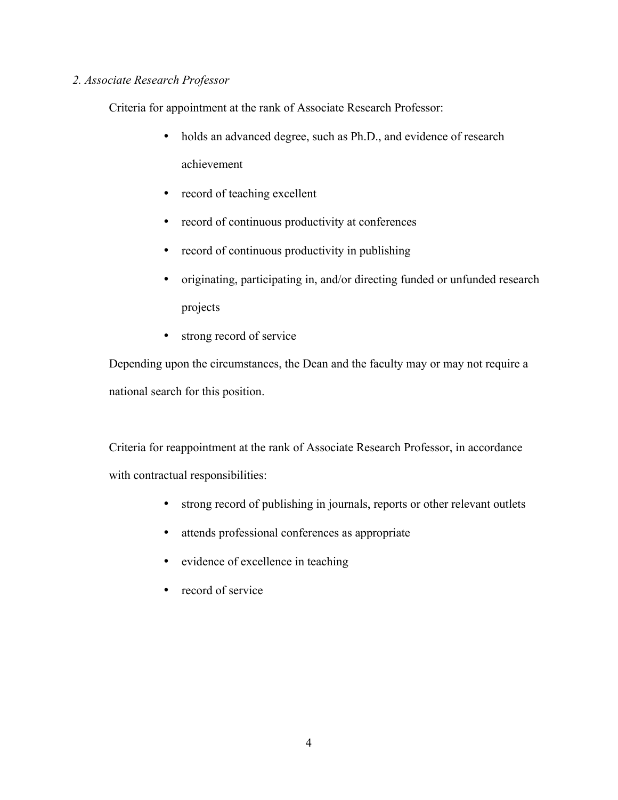# *2. Associate Research Professor*

Criteria for appointment at the rank of Associate Research Professor:

- holds an advanced degree, such as Ph.D., and evidence of research achievement
- record of teaching excellent
- record of continuous productivity at conferences
- record of continuous productivity in publishing
- originating, participating in, and/or directing funded or unfunded research projects
- strong record of service

Depending upon the circumstances, the Dean and the faculty may or may not require a national search for this position.

Criteria for reappointment at the rank of Associate Research Professor, in accordance with contractual responsibilities:

- strong record of publishing in journals, reports or other relevant outlets
- attends professional conferences as appropriate
- evidence of excellence in teaching
- record of service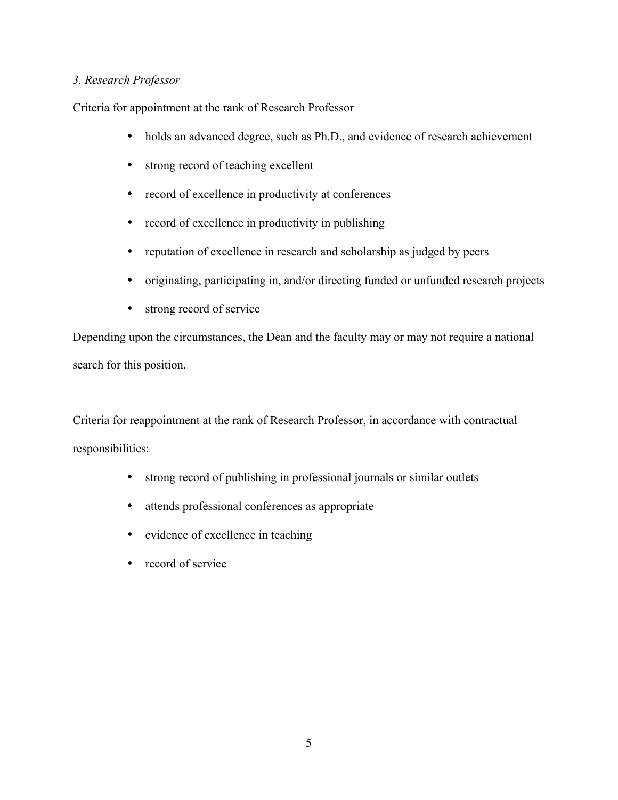### *3. Research Professor*

Criteria for appointment at the rank of Research Professor

- holds an advanced degree, such as Ph.D., and evidence of research achievement
- strong record of teaching excellent
- record of excellence in productivity at conferences
- record of excellence in productivity in publishing
- reputation of excellence in research and scholarship as judged by peers
- originating, participating in, and/or directing funded or unfunded research projects
- strong record of service

Depending upon the circumstances, the Dean and the faculty may or may not require a national search for this position.

Criteria for reappointment at the rank of Research Professor, in accordance with contractual responsibilities:

- strong record of publishing in professional journals or similar outlets
- attends professional conferences as appropriate
- evidence of excellence in teaching
- record of service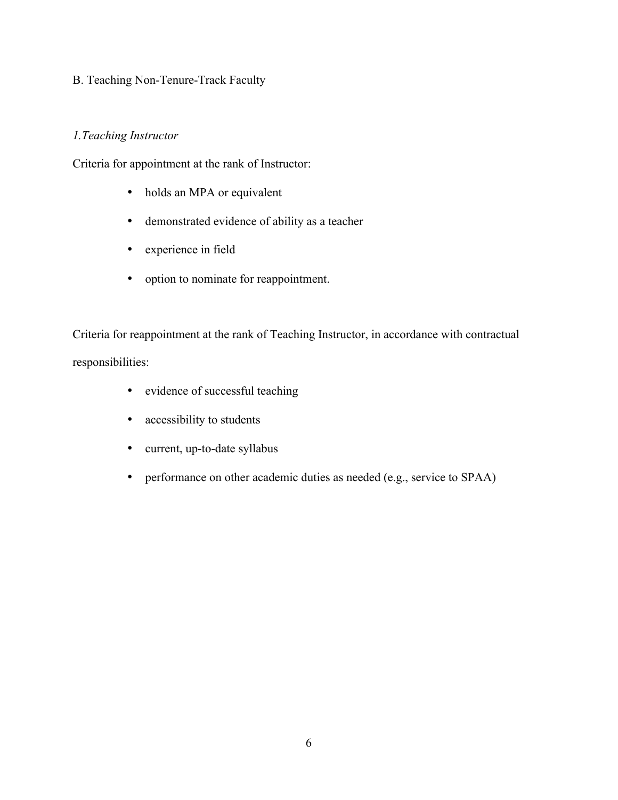# B. Teaching Non-Tenure-Track Faculty

# *1.Teaching Instructor*

Criteria for appointment at the rank of Instructor:

- holds an MPA or equivalent
- demonstrated evidence of ability as a teacher
- experience in field
- option to nominate for reappointment.

Criteria for reappointment at the rank of Teaching Instructor, in accordance with contractual responsibilities:

- evidence of successful teaching
- accessibility to students
- current, up-to-date syllabus
- performance on other academic duties as needed (e.g., service to SPAA)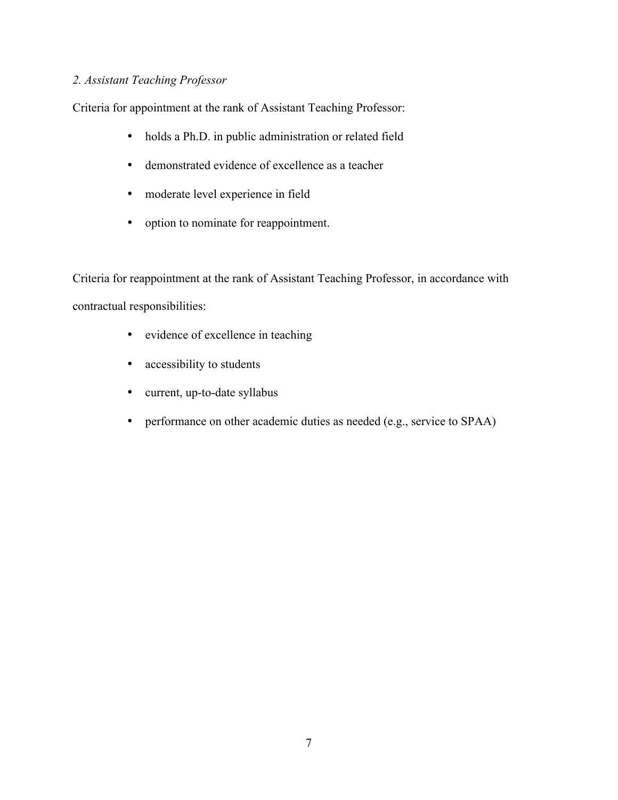# *2. Assistant Teaching Professor*

Criteria for appointment at the rank of Assistant Teaching Professor:

- holds a Ph.D. in public administration or related field
- demonstrated evidence of excellence as a teacher
- moderate level experience in field
- option to nominate for reappointment.

Criteria for reappointment at the rank of Assistant Teaching Professor, in accordance with contractual responsibilities:

- evidence of excellence in teaching
- accessibility to students
- current, up-to-date syllabus
- performance on other academic duties as needed (e.g., service to SPAA)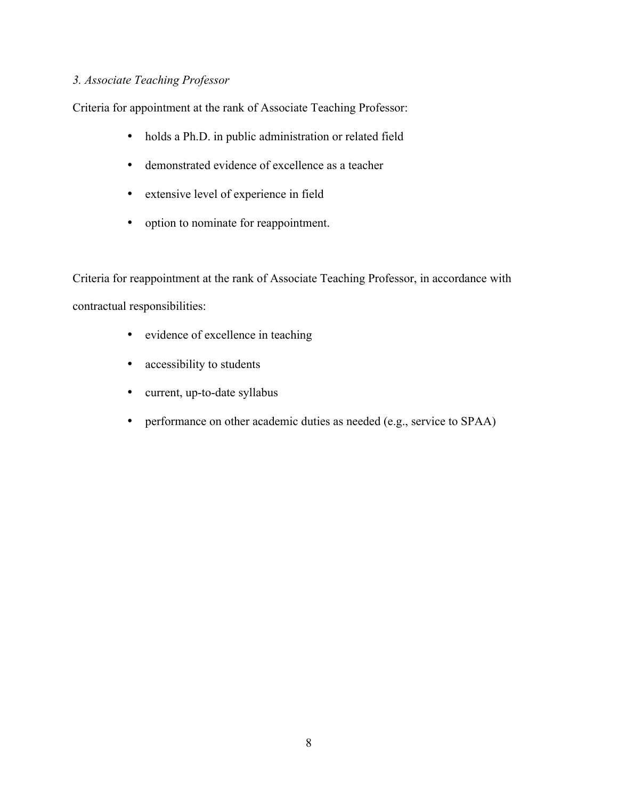### *3. Associate Teaching Professor*

Criteria for appointment at the rank of Associate Teaching Professor:

- holds a Ph.D. in public administration or related field
- demonstrated evidence of excellence as a teacher
- extensive level of experience in field
- option to nominate for reappointment.

Criteria for reappointment at the rank of Associate Teaching Professor, in accordance with contractual responsibilities:

- evidence of excellence in teaching
- accessibility to students
- current, up-to-date syllabus
- performance on other academic duties as needed (e.g., service to SPAA)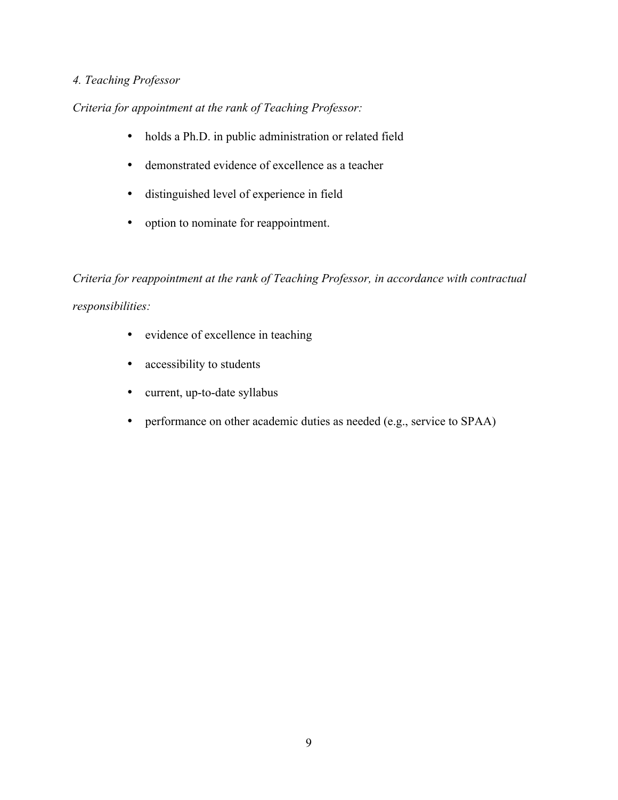# *4. Teaching Professor*

*Criteria for appointment at the rank of Teaching Professor:*

- holds a Ph.D. in public administration or related field
- demonstrated evidence of excellence as a teacher
- distinguished level of experience in field
- option to nominate for reappointment.

*Criteria for reappointment at the rank of Teaching Professor, in accordance with contractual responsibilities:*

- evidence of excellence in teaching
- accessibility to students
- current, up-to-date syllabus
- performance on other academic duties as needed (e.g., service to SPAA)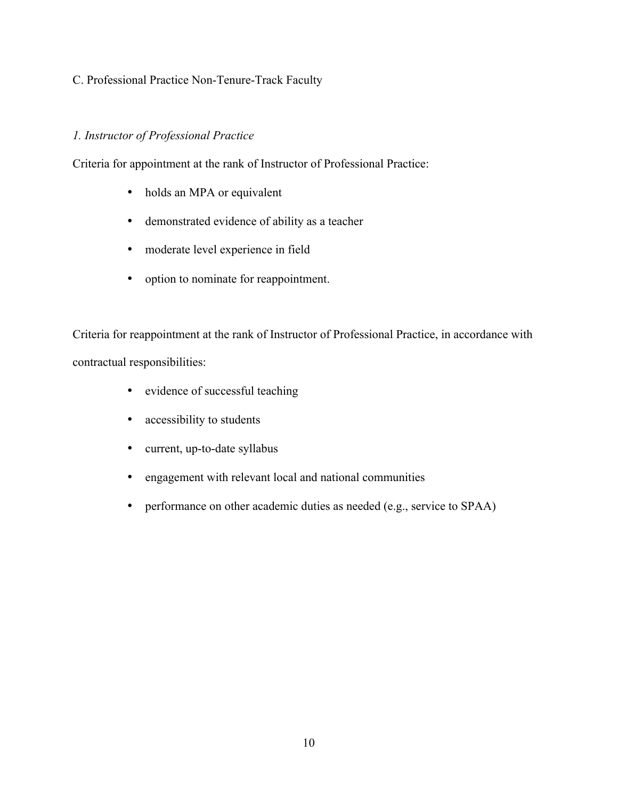# C. Professional Practice Non-Tenure-Track Faculty

# *1. Instructor of Professional Practice*

Criteria for appointment at the rank of Instructor of Professional Practice:

- holds an MPA or equivalent
- demonstrated evidence of ability as a teacher
- moderate level experience in field
- option to nominate for reappointment.

Criteria for reappointment at the rank of Instructor of Professional Practice, in accordance with contractual responsibilities:

- evidence of successful teaching
- accessibility to students
- current, up-to-date syllabus
- engagement with relevant local and national communities
- performance on other academic duties as needed (e.g., service to SPAA)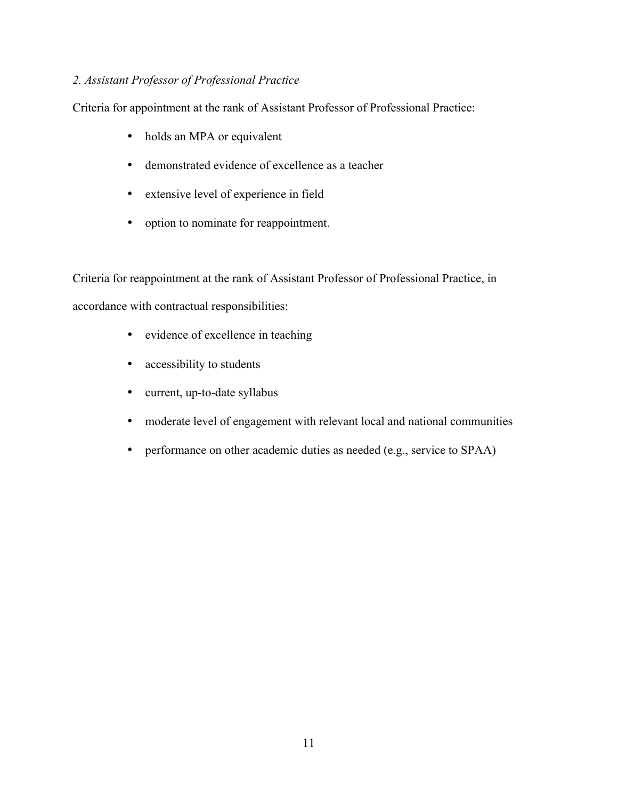# *2. Assistant Professor of Professional Practice*

Criteria for appointment at the rank of Assistant Professor of Professional Practice:

- holds an MPA or equivalent
- demonstrated evidence of excellence as a teacher
- extensive level of experience in field
- option to nominate for reappointment.

Criteria for reappointment at the rank of Assistant Professor of Professional Practice, in accordance with contractual responsibilities:

- evidence of excellence in teaching
- accessibility to students
- current, up-to-date syllabus
- moderate level of engagement with relevant local and national communities
- performance on other academic duties as needed (e.g., service to SPAA)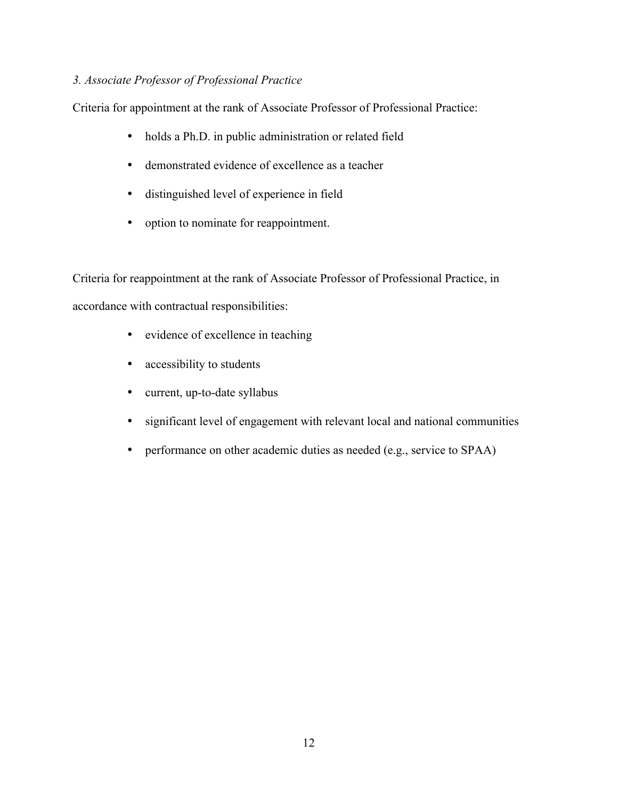# *3. Associate Professor of Professional Practice*

Criteria for appointment at the rank of Associate Professor of Professional Practice:

- holds a Ph.D. in public administration or related field
- demonstrated evidence of excellence as a teacher
- distinguished level of experience in field
- option to nominate for reappointment.

Criteria for reappointment at the rank of Associate Professor of Professional Practice, in accordance with contractual responsibilities:

- evidence of excellence in teaching
- accessibility to students
- current, up-to-date syllabus
- significant level of engagement with relevant local and national communities
- performance on other academic duties as needed (e.g., service to SPAA)